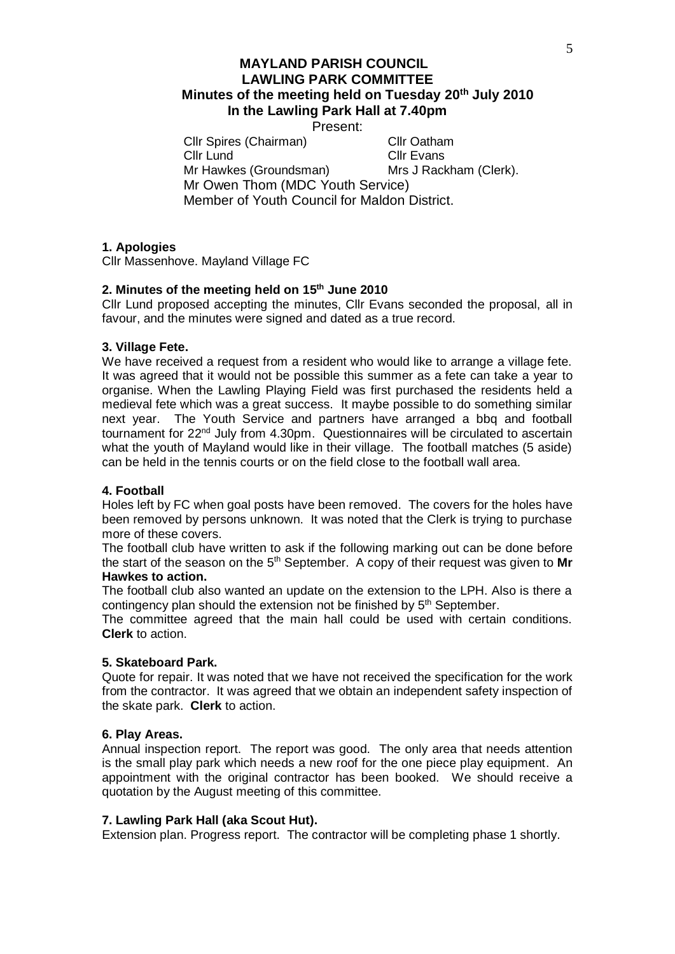# **MAYLAND PARISH COUNCIL LAWLING PARK COMMITTEE Minutes of the meeting held on Tuesday 20th July 2010 In the Lawling Park Hall at 7.40pm**

Present:

Cllr Spires (Chairman) Cllr Oatham Cllr Lund Cllr Evans Mr Hawkes (Groundsman) Mrs J Rackham (Clerk). Mr Owen Thom (MDC Youth Service) Member of Youth Council for Maldon District.

## **1. Apologies**

Cllr Massenhove. Mayland Village FC

## **2. Minutes of the meeting held on 15 th June 2010**

Cllr Lund proposed accepting the minutes, Cllr Evans seconded the proposal, all in favour, and the minutes were signed and dated as a true record.

### **3. Village Fete.**

We have received a request from a resident who would like to arrange a village fete. It was agreed that it would not be possible this summer as a fete can take a year to organise. When the Lawling Playing Field was first purchased the residents held a medieval fete which was a great success. It maybe possible to do something similar next year. The Youth Service and partners have arranged a bbq and football tournament for 22nd July from 4.30pm. Questionnaires will be circulated to ascertain what the youth of Mayland would like in their village. The football matches (5 aside) can be held in the tennis courts or on the field close to the football wall area.

# **4. Football**

Holes left by FC when goal posts have been removed. The covers for the holes have been removed by persons unknown. It was noted that the Clerk is trying to purchase more of these covers.

The football club have written to ask if the following marking out can be done before the start of the season on the 5<sup>th</sup> September. A copy of their request was given to Mr **Hawkes to action.**

The football club also wanted an update on the extension to the LPH. Also is there a contingency plan should the extension not be finished by 5<sup>th</sup> September.

The committee agreed that the main hall could be used with certain conditions. **Clerk** to action.

## **5. Skateboard Park.**

Quote for repair. It was noted that we have not received the specification for the work from the contractor. It was agreed that we obtain an independent safety inspection of the skate park. **Clerk** to action.

#### **6. Play Areas.**

Annual inspection report. The report was good. The only area that needs attention is the small play park which needs a new roof for the one piece play equipment. An appointment with the original contractor has been booked. We should receive a quotation by the August meeting of this committee.

#### **7. Lawling Park Hall (aka Scout Hut).**

Extension plan. Progress report. The contractor will be completing phase 1 shortly.